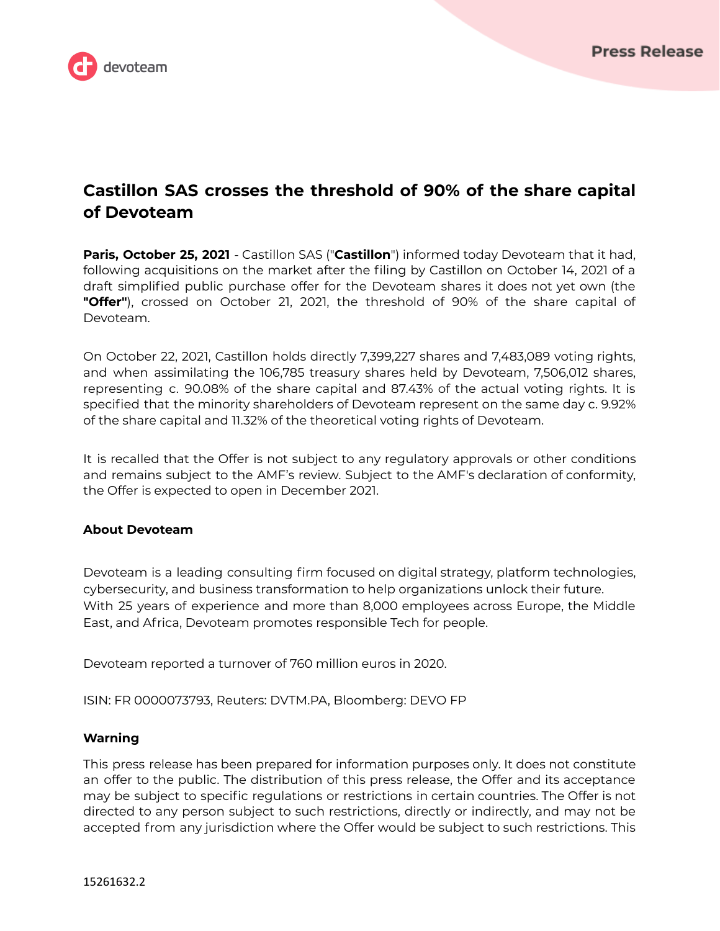

## **Castillon SAS crosses the threshold of 90% of the share capital of Devoteam**

**Paris, October 25, 2021** - Castillon SAS ("**Castillon**") informed today Devoteam that it had, following acquisitions on the market after the filing by Castillon on October 14, 2021 of a draft simplified public purchase offer for the Devoteam shares it does not yet own (the **"Offer"**), crossed on October 21, 2021, the threshold of 90% of the share capital of Devoteam.

On October 22, 2021, Castillon holds directly 7,399,227 shares and 7,483,089 voting rights, and when assimilating the 106,785 treasury shares held by Devoteam, 7,506,012 shares, representing c. 90.08% of the share capital and 87.43% of the actual voting rights. It is specified that the minority shareholders of Devoteam represent on the same day c. 9.92% of the share capital and 11.32% of the theoretical voting rights of Devoteam.

It is recalled that the Offer is not subject to any regulatory approvals or other conditions and remains subject to the AMF's review. Subject to the AMF's declaration of conformity, the Offer is expected to open in December 2021.

## **About Devoteam**

Devoteam is a leading consulting firm focused on digital strategy, platform technologies, cybersecurity, and business transformation to help organizations unlock their future. With 25 years of experience and more than 8,000 employees across Europe, the Middle East, and Africa, Devoteam promotes responsible Tech for people.

Devoteam reported a turnover of 760 million euros in 2020.

ISIN: FR 0000073793, Reuters: DVTM.PA, Bloomberg: DEVO FP

## **Warning**

This press release has been prepared for information purposes only. It does not constitute an offer to the public. The distribution of this press release, the Offer and its acceptance may be subject to specific regulations or restrictions in certain countries. The Offer is not directed to any person subject to such restrictions, directly or indirectly, and may not be accepted from any jurisdiction where the Offer would be subject to such restrictions. This